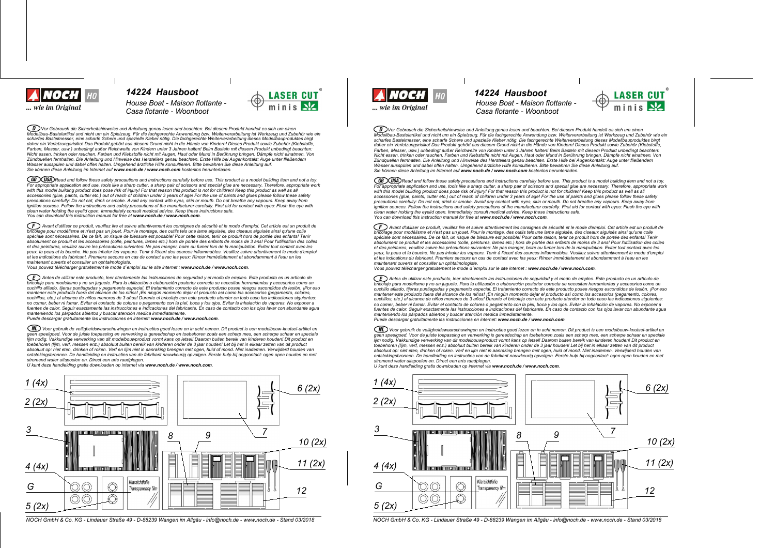

*14224 Hausboot 14224 Hausboot House Boat - Maison flottante - Casa flotante - Woonboot*

◯ᢧᢧѴѹ Gebrauch die Sicherheitshinweise und Anleitung genau lesen und beachten. Bei diesem Produkt handelt es sich um einen<br>Modellbau-Bastelartikel und nicht um ein Spielzeug. Für die fachgerechte Anwendung bzw. Weitervera scharfes Bastelmesser, eine scharfe Schere und spezielle Kleber nötig. Die fachgerechte Weiterverarbeitung dieses Modellbauproduktes birgt daher ein Verletzungsrisiko! Das Produkt gehört aus diesem Grund nicht in die Hände von Kindern! Dieses Produkt sowie Zubehör (Klebstoffe Farben, Messer, usw.) unbedingt außer Reichweite von Kindern unter 3 Jahren halten! Beim Basteln mit diesem Produkt unbedingt beachten: Nicht essen, trinken oder rauchen. Farben und Klebstoffe nicht mit Augen, Haut oder Mund in Berührung bringen. Dämpfe nicht einatmen. Von Zündquellen fernhalten. Die Anleitung und Hinweise des Herstellers genau beachten. Erste Hilfe bei Augenkontakt: Auge unter fließendem<br>Wasser ausspülen und dabei offen halten. Umgehend ärztliche Hilfe konsultieren. Bitte b *Sie k|nnen diese Anleitung im Internet auf www.noch.de / www.noch.com kostenlos herunterladen.*

(GB) (USA) Read and follow these safety precautions and instructions carefully before use. This product is a model building item and not a toy. For appropriate application and use, tools like a sharp cutter, a sharp pair of scissors and special glue are necessary. Therefore, appropriate work<br>with this model building product does pose risk of injury! For that reaso accessories (glue, paints, cutter etc.) out of reach of children under 3 years of age! For the use of paints and glues please follow these safety precautions carefully: Do not eat, drink or smoke. Avoid any contact with eyes, skin or mouth. Do not breathe any vapours. Keep away from<br>ignition sources. Follow the instructions and safety precautions of the manufacturer *clean water holding the eyelid open. Immediately consult medical advice. Keep these instructions safe. You can download this instruction manual for free at www.noch.de / www.noch.com.*

 $(F)$  Avant d'utiliser ce produit, veuillez lire et suivre attentivement les consignes de sécurité et le mode d'emploi. Cet article est un produit de bricolage pour modélisme et n'est pas un jouet. Pour le montage, des outils tels une lame aiguisée, des ciseaux aiguisés ainsi qu'une colle<br>spéciale sont nécessaires. De ce fait, un risque de blessure est possible! Pour ce absolument ce produit et les accessoires (colle, peintures, lames etc.) hors de portée des enfants de moins de 3 ans! Pour l'utilisation des colles et des peintures, veuillez suivre les précautions suivantes: Ne pas manger, boire ou fumer lors de la manipulation. Eviter tout contact avec les yeux, la peau et la bouche. Ne pas inhaler les vapeurs. Tenir à l'écart des sources inflammables. Veuillez suivre attentivement le mode d'emploi et les indications du fabricant. Premiers secours en cas de contact avec les yeux: Rincer immédiatement et abondamment à l'eau en les *maintenant ouverts et consulter un ophtalmologiste.*

*Vous pouvez tplpcharger gratuitement le mode demploi sur le site internet : www.noch.de / www.noch.com.*

CD Antes de utilizar este producto, leer atentamente las instrucciones de seguridad y el modo de empleo. Este producto es un artículo de .<br>aje para modelismo y no un juquete. Para la utilización o elaboración posterior correcta se necesitan herramientas y accesorios como un cuchillo afilado, tijeras puntiagudas y pegamento especial. El tratamiento correcto de este producto posee riesgos escondidos de lesión. ¡Por eso mantener este producto fuera del alcance de los niños! ¡En ningún momento dejar el producto así como los accesorios (pegamento, colores,<br>cuchillos, etc.) al alcance de niños menores de 3 años! Durante el bricolaje con este no comer, beber ni fumar. Evitar el contacto de colores o pegamento con la piel, boca y los ojos. Evitar la inhalación de vapores. No exponer a fuentes de calor. Sequir exactamente las instrucciones e indicaciones del fabricante. En caso de contacto con los ojos lavar con abundante aqua manteniendo los párpados abiertos y buscar atención medica inmediatamente.<br>Puede descargar gratuitamente las instrucciones en internet: **www.noch.de / www.noch.com**.

(NL) Voor gebruik de veiligheidswaarschuwingen en instructies goed lezen en in acht nemen. Dit product is een modelbouw-knutsel-artikel en geen speelgoed. Voor de juiste toepassing en verwerking is gereedschap en toebehoren zoals een scherp mes, een scherpe schaar en speciale lijm nodig. Vakkundige verwerking van dit modelbouwproduct vormt kans op letsel! Daarom buiten bereik van kinderen houden! Dit product en<br>toebehoren (lijm, verf, messen enz.) absoluut buiten bereik van kinderen onder de 3 absoluut op: niet eten, drinken of roken. Verf en lijm niet in aanraking brengen met ogen, huid of mond. Niet inademen. Verwijderd houden van<br>ontstekingsbronnen. De handleiding en instructies van de fabrikant nauwkeurig op *stromend water uitspoelen en. Direct een arts raadplegen.*

*U kunt deze handleiding gratis downloaden op internet via www.noch.de / www.noch.com.*



NOCH GmbH & Co. KG - Lindauer Straße 49 - D-88239 Wangen im Allgäu - info@noch.de - www.noch.de - Stand 03/2018 NOCH GmbH & Co. KG - Lindauer Straße 49 - D-88239 Wangen im Allgäu - info@noch.de - Stand 03/2018



*House Boat - Maison flottante - Casa flotante - Woonboot*



 $\widehat{\mathcal{CD}}$  Vor Gebrauch die Sicherheitshinweise und Anleitung genau lesen und beachten. Bei diesem Produkt handelt es sich um einen Modellbau-Bastelartikel und nicht um ein Spielzeug. Für die fachgerechte Anwendung bzw. Weiterverarbeitung ist Werkzeug und Zubehör wie ein scharfes Bastelmesser, eine scharfe Schere und spezielle Kleber nötig. Die fachgerechte Weiterverarbeitung dieses Modellbauproduktes birgt daher ein Verletzungsrisikol Das Produkt gehört aus diesem Grund nicht in die Hände von Kindern! Dieses Produkt sowie Zubehör (Klebstoffe. Earben Messer, usw.) unbedindt außer Reichweite von Kindern unter 3. Jahren halten! Beim Basteln mit diesem Produkt unbedindt beachten: r auch, messel, am.y answering aussi recommence verranner in the seament nature. Seam in Berührung bringen. Dämpfe nicht einstmen. Von<br>Nicht essen, trinken oder rauchen. Farben und Klebstoffe nicht mit Augen. Haut oder Mun num social proposation control in a major control of the control of the control of the control of the control of the control of the control of the control of the control of the control of the control of the control of the Wasser ausspillen und dabei offen halten Umgehend ärztliche Hilfe konsultieren Bitte bewahren Sie diese Anleitung auf *Sie k|nnen diese Anleitung im Internet auf www.noch.de / www.noch.com kostenlos herunterladen.*

(GB) USA) Read and follow these safety precautions and instructions carefully before use. This product is a model building item and not a toy. For appropriate application and use, tools like a sharp culter, a sharp pair of scissors and special que are necessary. Therefore, appropriate work with this model building product does pose risk of injury! For that reason this product is not for children! Keep this product as well as all<br>accessories (glue, paints, cutter etc.) out of reach of children under 3 years o precautions carefully: Do not eat, drink or smoke. Avoid any contact with eyes, skin or mouth. Do not breathe any vapours. Keep away from<br>ignition sources. Follow the instructions and safety precautions of the manufacturer *clean water holding the eyelid open. Immediately consult medical advice. Keep these instructions safe. You can download this instruction manual for free at www.noch.de / www.noch.com.*

(F) Avant d'utiliser ce produit, veuillez lire et suivre attentivement les consignes de sécurité et le mode d'emploi. Cet article est un produit de incolage pour modélisme et n'est pas un jouet. Pour le montage, des outils tels une lame aiguisée, des ciseaux aiguisés ainsi qu'une colle<br>Dricolage pour modélisme et n'est pas un jouet. Pour le montage, des outils tels un spéciale sont nécessaires. De ce fait, un risque de blessure est possible! Pour cette raison, tenir ce produit hors de portée des enfants! Tenir absolument ce produit et les accessoires (colle, peintures, lames etc.) hors de portée des enfants de moins de 3 ans! Pour l'utilisation des colles et des peintures, veuillez suivre les précautions suivantes: Ne pas manger, boire ou fumer lors de la manipulation. Eviter tout contact avec les veux, la peau et la bouche. Ne pas inhaler les vapeurs. Tenir à l'écart des sources inflammables. Veuillez suivre attentivement le mode d'emploi et les indications du fabricant. Premiers secours en cas de contact avec les yeux: Rincer immédiatement et abondamment à l'eau en les *maintenant ouverts et consulter un ophtalmologiste.*

*Vous pouvez tplpcharger gratuitement le mode demploi sur le site internet : www.noch.de / www.noch.com.*

ED Antes de utilizar este producto, leer atentamente las instrucciones de seguridad y el modo de empleo. Este producto es un artículo de bricolaje para modelismo y no un juguete. Para la utilización o elaboración posterior correcta se necesitan herramientas y accesorios como un<br>cuchillo afilado, tijeras puntiagudas y pegamento especial. El tratamiento corre mantener este producto fuera del alcance de los niños! ¡En ningún momento dejar el producto así como los accesorios (pegamento, colores, cuchillos, etc.) al alcance de niños menores de 3 años! Durante el bricolaje con este producto atender en todo caso las indicaciones siguientes: no comer, beber ni fumar. Evitar el contacto de colores o pegamento con la piel, boca y los ojos. Evitar la inhalación de vanores. No exponer a no comparador in anha comparador de comparadores e producedos del fabricante. En caso de contacto con los ojos lavar con abundante agua<br>fuentes de calor. Seguir exactamente las instrucciones e indicaciones del fabricante. *manteniendo los pirpados abiertos y buscar atenciyn medica inmediatamente.*

*Puede descargar gratuitamente las instrucciones en internet: www.noch.de / www.noch.com.*

∖ML) Voor gebruik de veiligheidswaarschuwingen en instructies goed lezen en in acht nemen. Dit product is een modelbouw-knutsel-artikel en<br>geen speelgoed. Voor de juiste toepassing en verwerking is gereedschap en toebehor geon approximation of the comparative in vertical and the construction of the comparative in the comparative model of the comparative model of the comparative model of the comparative model of the comparative model of the toebehoren (lijm, verf, messen enz.) absoluut buiten bereik van kinderen onder de 3 jaar houden! Let bij het in elkaar zetten van dit product absoluut op: niet eten, drinken of roken. Verf en lijm niet in aanraking brengen met ogen, huid of mond. Niet inademen. Verwijderd houden van ontstekingsbronnen. De handleiding en instructies van de fabrikant nauwkeurig opvolgen. Eerste hulp bij oogcontact: ogen open houden en met<br>stromend water uitspoelen en. Direct een arts raadplegen.

*U kunt deze handleiding gratis downloaden op internet via www.noch.de / www.noch.com.*